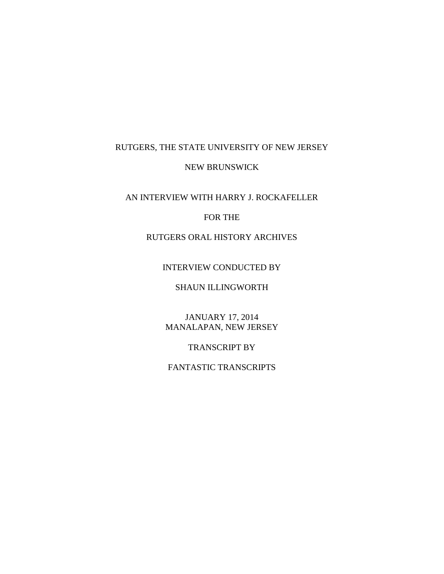# RUTGERS, THE STATE UNIVERSITY OF NEW JERSEY

## NEW BRUNSWICK

## AN INTERVIEW WITH HARRY J. ROCKAFELLER

#### FOR THE

# RUTGERS ORAL HISTORY ARCHIVES

### INTERVIEW CONDUCTED BY

## SHAUN ILLINGWORTH

#### JANUARY 17, 2014 MANALAPAN, NEW JERSEY

## TRANSCRIPT BY

## FANTASTIC TRANSCRIPTS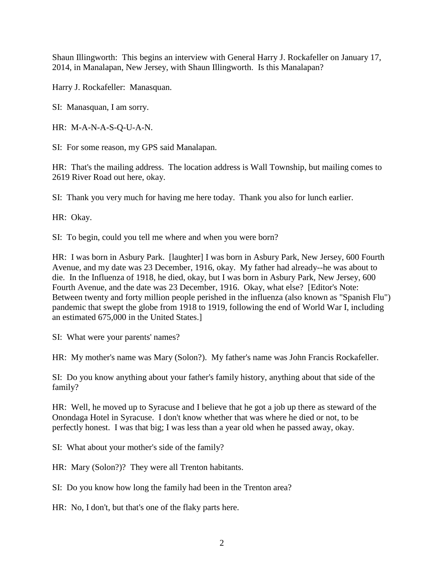Shaun Illingworth: This begins an interview with General Harry J. Rockafeller on January 17, 2014, in Manalapan, New Jersey, with Shaun Illingworth. Is this Manalapan?

Harry J. Rockafeller: Manasquan.

SI: Manasquan, I am sorry.

HR: M-A-N-A-S-Q-U-A-N.

SI: For some reason, my GPS said Manalapan.

HR: That's the mailing address. The location address is Wall Township, but mailing comes to 2619 River Road out here, okay.

SI: Thank you very much for having me here today. Thank you also for lunch earlier.

HR: Okay.

SI: To begin, could you tell me where and when you were born?

HR: I was born in Asbury Park. [laughter] I was born in Asbury Park, New Jersey, 600 Fourth Avenue, and my date was 23 December, 1916, okay. My father had already--he was about to die. In the Influenza of 1918, he died, okay, but I was born in Asbury Park, New Jersey, 600 Fourth Avenue, and the date was 23 December, 1916. Okay, what else? [Editor's Note: Between twenty and forty million people perished in the influenza (also known as "Spanish Flu") pandemic that swept the globe from 1918 to 1919, following the end of World War I, including an estimated 675,000 in the United States.]

SI: What were your parents' names?

HR: My mother's name was Mary (Solon?). My father's name was John Francis Rockafeller.

SI: Do you know anything about your father's family history, anything about that side of the family?

HR: Well, he moved up to Syracuse and I believe that he got a job up there as steward of the Onondaga Hotel in Syracuse. I don't know whether that was where he died or not, to be perfectly honest. I was that big; I was less than a year old when he passed away, okay.

SI: What about your mother's side of the family?

HR: Mary (Solon?)? They were all Trenton habitants.

SI: Do you know how long the family had been in the Trenton area?

HR: No, I don't, but that's one of the flaky parts here.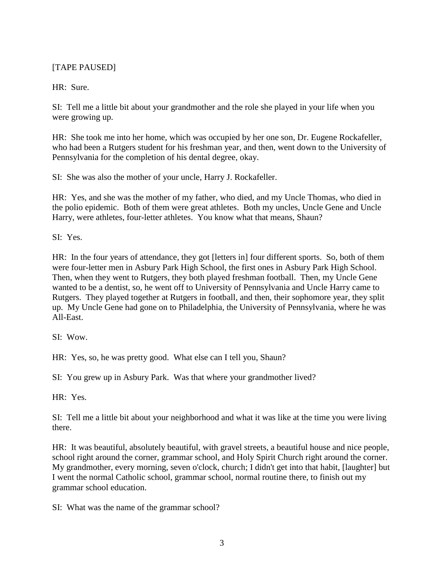# [TAPE PAUSED]

HR: Sure.

SI: Tell me a little bit about your grandmother and the role she played in your life when you were growing up.

HR: She took me into her home, which was occupied by her one son, Dr. Eugene Rockafeller, who had been a Rutgers student for his freshman year, and then, went down to the University of Pennsylvania for the completion of his dental degree, okay.

SI: She was also the mother of your uncle, Harry J. Rockafeller.

HR: Yes, and she was the mother of my father, who died, and my Uncle Thomas, who died in the polio epidemic. Both of them were great athletes. Both my uncles, Uncle Gene and Uncle Harry, were athletes, four-letter athletes. You know what that means, Shaun?

SI: Yes.

HR: In the four years of attendance, they got [letters in] four different sports. So, both of them were four-letter men in Asbury Park High School, the first ones in Asbury Park High School. Then, when they went to Rutgers, they both played freshman football. Then, my Uncle Gene wanted to be a dentist, so, he went off to University of Pennsylvania and Uncle Harry came to Rutgers. They played together at Rutgers in football, and then, their sophomore year, they split up. My Uncle Gene had gone on to Philadelphia, the University of Pennsylvania, where he was All-East.

SI: Wow.

HR: Yes, so, he was pretty good. What else can I tell you, Shaun?

SI: You grew up in Asbury Park. Was that where your grandmother lived?

HR: Yes.

SI: Tell me a little bit about your neighborhood and what it was like at the time you were living there.

HR: It was beautiful, absolutely beautiful, with gravel streets, a beautiful house and nice people, school right around the corner, grammar school, and Holy Spirit Church right around the corner. My grandmother, every morning, seven o'clock, church; I didn't get into that habit, [laughter] but I went the normal Catholic school, grammar school, normal routine there, to finish out my grammar school education.

SI: What was the name of the grammar school?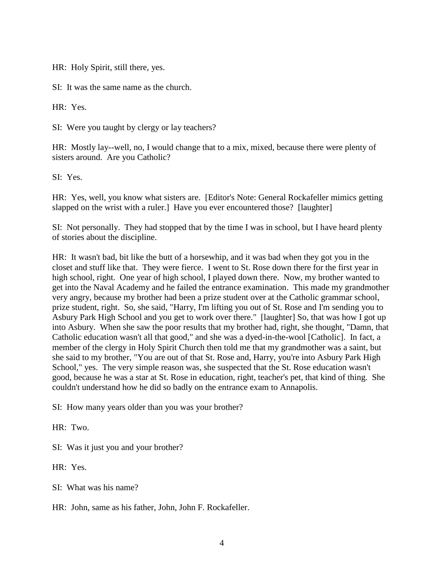HR: Holy Spirit, still there, yes.

SI: It was the same name as the church.

HR: Yes.

SI: Were you taught by clergy or lay teachers?

HR: Mostly lay--well, no, I would change that to a mix, mixed, because there were plenty of sisters around. Are you Catholic?

SI: Yes.

HR: Yes, well, you know what sisters are. [Editor's Note: General Rockafeller mimics getting slapped on the wrist with a ruler.] Have you ever encountered those? [laughter]

SI: Not personally. They had stopped that by the time I was in school, but I have heard plenty of stories about the discipline.

HR: It wasn't bad, bit like the butt of a horsewhip, and it was bad when they got you in the closet and stuff like that. They were fierce. I went to St. Rose down there for the first year in high school, right. One year of high school, I played down there. Now, my brother wanted to get into the Naval Academy and he failed the entrance examination. This made my grandmother very angry, because my brother had been a prize student over at the Catholic grammar school, prize student, right. So, she said, "Harry, I'm lifting you out of St. Rose and I'm sending you to Asbury Park High School and you get to work over there." [laughter] So, that was how I got up into Asbury. When she saw the poor results that my brother had, right, she thought, "Damn, that Catholic education wasn't all that good," and she was a dyed-in-the-wool [Catholic]. In fact, a member of the clergy in Holy Spirit Church then told me that my grandmother was a saint, but she said to my brother, "You are out of that St. Rose and, Harry, you're into Asbury Park High School," yes. The very simple reason was, she suspected that the St. Rose education wasn't good, because he was a star at St. Rose in education, right, teacher's pet, that kind of thing. She couldn't understand how he did so badly on the entrance exam to Annapolis.

SI: How many years older than you was your brother?

HR: Two.

SI: Was it just you and your brother?

HR: Yes.

SI: What was his name?

HR: John, same as his father, John, John F. Rockafeller.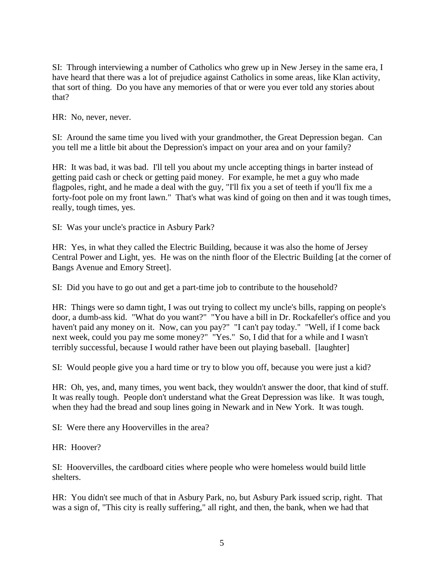SI: Through interviewing a number of Catholics who grew up in New Jersey in the same era, I have heard that there was a lot of prejudice against Catholics in some areas, like Klan activity, that sort of thing. Do you have any memories of that or were you ever told any stories about that?

HR: No, never, never.

SI: Around the same time you lived with your grandmother, the Great Depression began. Can you tell me a little bit about the Depression's impact on your area and on your family?

HR: It was bad, it was bad. I'll tell you about my uncle accepting things in barter instead of getting paid cash or check or getting paid money. For example, he met a guy who made flagpoles, right, and he made a deal with the guy, "I'll fix you a set of teeth if you'll fix me a forty-foot pole on my front lawn." That's what was kind of going on then and it was tough times, really, tough times, yes.

SI: Was your uncle's practice in Asbury Park?

HR: Yes, in what they called the Electric Building, because it was also the home of Jersey Central Power and Light, yes. He was on the ninth floor of the Electric Building [at the corner of Bangs Avenue and Emory Street].

SI: Did you have to go out and get a part-time job to contribute to the household?

HR: Things were so damn tight, I was out trying to collect my uncle's bills, rapping on people's door, a dumb-ass kid. "What do you want?" "You have a bill in Dr. Rockafeller's office and you haven't paid any money on it. Now, can you pay?" "I can't pay today." "Well, if I come back next week, could you pay me some money?" "Yes." So, I did that for a while and I wasn't terribly successful, because I would rather have been out playing baseball. [laughter]

SI: Would people give you a hard time or try to blow you off, because you were just a kid?

HR: Oh, yes, and, many times, you went back, they wouldn't answer the door, that kind of stuff. It was really tough. People don't understand what the Great Depression was like. It was tough, when they had the bread and soup lines going in Newark and in New York. It was tough.

SI: Were there any Hoovervilles in the area?

HR: Hoover?

SI: Hoovervilles, the cardboard cities where people who were homeless would build little shelters.

HR: You didn't see much of that in Asbury Park, no, but Asbury Park issued scrip, right. That was a sign of, "This city is really suffering," all right, and then, the bank, when we had that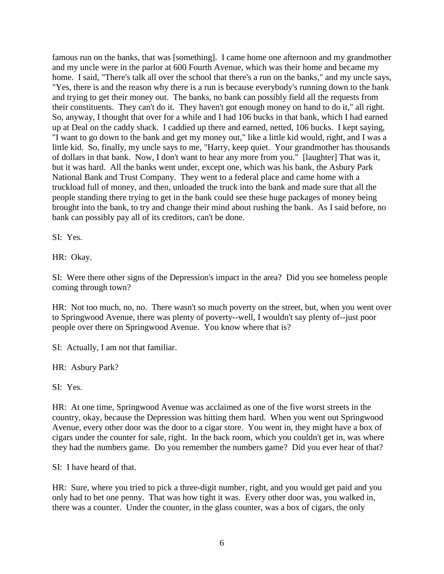famous run on the banks, that was [something]. I came home one afternoon and my grandmother and my uncle were in the parlor at 600 Fourth Avenue, which was their home and became my home. I said, "There's talk all over the school that there's a run on the banks," and my uncle says, "Yes, there is and the reason why there is a run is because everybody's running down to the bank and trying to get their money out. The banks, no bank can possibly field all the requests from their constituents. They can't do it. They haven't got enough money on hand to do it," all right. So, anyway, I thought that over for a while and I had 106 bucks in that bank, which I had earned up at Deal on the caddy shack. I caddied up there and earned, netted, 106 bucks. I kept saying, "I want to go down to the bank and get my money out," like a little kid would, right, and I was a little kid. So, finally, my uncle says to me, "Harry, keep quiet. Your grandmother has thousands of dollars in that bank. Now, I don't want to hear any more from you." [laughter] That was it, but it was hard. All the banks went under, except one, which was his bank, the Asbury Park National Bank and Trust Company. They went to a federal place and came home with a truckload full of money, and then, unloaded the truck into the bank and made sure that all the people standing there trying to get in the bank could see these huge packages of money being brought into the bank, to try and change their mind about rushing the bank. As I said before, no bank can possibly pay all of its creditors, can't be done.

SI: Yes.

HR: Okay.

SI: Were there other signs of the Depression's impact in the area? Did you see homeless people coming through town?

HR: Not too much, no, no. There wasn't so much poverty on the street, but, when you went over to Springwood Avenue, there was plenty of poverty--well, I wouldn't say plenty of--just poor people over there on Springwood Avenue. You know where that is?

SI: Actually, I am not that familiar.

HR: Asbury Park?

SI: Yes.

HR: At one time, Springwood Avenue was acclaimed as one of the five worst streets in the country, okay, because the Depression was hitting them hard. When you went out Springwood Avenue, every other door was the door to a cigar store. You went in, they might have a box of cigars under the counter for sale, right. In the back room, which you couldn't get in, was where they had the numbers game. Do you remember the numbers game? Did you ever hear of that?

SI: I have heard of that.

HR: Sure, where you tried to pick a three-digit number, right, and you would get paid and you only had to bet one penny. That was how tight it was. Every other door was, you walked in, there was a counter. Under the counter, in the glass counter, was a box of cigars, the only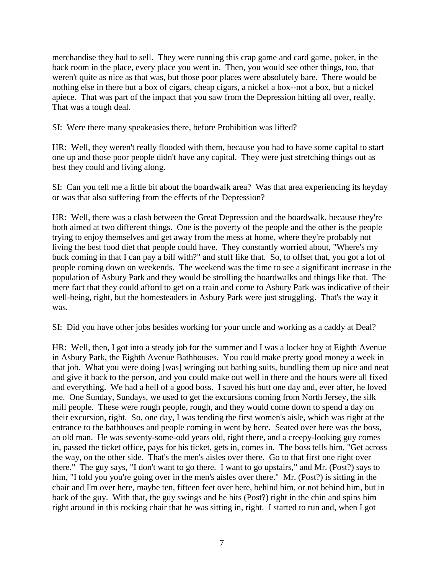merchandise they had to sell. They were running this crap game and card game, poker, in the back room in the place, every place you went in. Then, you would see other things, too, that weren't quite as nice as that was, but those poor places were absolutely bare. There would be nothing else in there but a box of cigars, cheap cigars, a nickel a box--not a box, but a nickel apiece. That was part of the impact that you saw from the Depression hitting all over, really. That was a tough deal.

SI: Were there many speakeasies there, before Prohibition was lifted?

HR: Well, they weren't really flooded with them, because you had to have some capital to start one up and those poor people didn't have any capital. They were just stretching things out as best they could and living along.

SI: Can you tell me a little bit about the boardwalk area? Was that area experiencing its heyday or was that also suffering from the effects of the Depression?

HR: Well, there was a clash between the Great Depression and the boardwalk, because they're both aimed at two different things. One is the poverty of the people and the other is the people trying to enjoy themselves and get away from the mess at home, where they're probably not living the best food diet that people could have. They constantly worried about, "Where's my buck coming in that I can pay a bill with?" and stuff like that. So, to offset that, you got a lot of people coming down on weekends. The weekend was the time to see a significant increase in the population of Asbury Park and they would be strolling the boardwalks and things like that. The mere fact that they could afford to get on a train and come to Asbury Park was indicative of their well-being, right, but the homesteaders in Asbury Park were just struggling. That's the way it was.

SI: Did you have other jobs besides working for your uncle and working as a caddy at Deal?

HR: Well, then, I got into a steady job for the summer and I was a locker boy at Eighth Avenue in Asbury Park, the Eighth Avenue Bathhouses. You could make pretty good money a week in that job. What you were doing [was] wringing out bathing suits, bundling them up nice and neat and give it back to the person, and you could make out well in there and the hours were all fixed and everything. We had a hell of a good boss. I saved his butt one day and, ever after, he loved me. One Sunday, Sundays, we used to get the excursions coming from North Jersey, the silk mill people. These were rough people, rough, and they would come down to spend a day on their excursion, right. So, one day, I was tending the first women's aisle, which was right at the entrance to the bathhouses and people coming in went by here. Seated over here was the boss, an old man. He was seventy-some-odd years old, right there, and a creepy-looking guy comes in, passed the ticket office, pays for his ticket, gets in, comes in. The boss tells him, "Get across the way, on the other side. That's the men's aisles over there. Go to that first one right over there." The guy says, "I don't want to go there. I want to go upstairs," and Mr. (Post?) says to him, "I told you you're going over in the men's aisles over there." Mr. (Post?) is sitting in the chair and I'm over here, maybe ten, fifteen feet over here, behind him, or not behind him, but in back of the guy. With that, the guy swings and he hits (Post?) right in the chin and spins him right around in this rocking chair that he was sitting in, right. I started to run and, when I got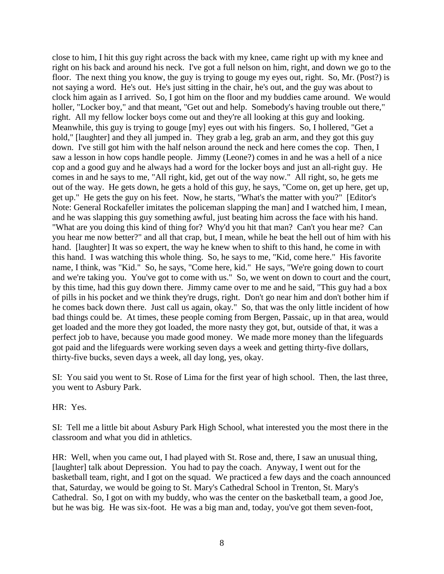close to him, I hit this guy right across the back with my knee, came right up with my knee and right on his back and around his neck. I've got a full nelson on him, right, and down we go to the floor. The next thing you know, the guy is trying to gouge my eyes out, right. So, Mr. (Post?) is not saying a word. He's out. He's just sitting in the chair, he's out, and the guy was about to clock him again as I arrived. So, I got him on the floor and my buddies came around. We would holler, "Locker boy," and that meant, "Get out and help. Somebody's having trouble out there," right. All my fellow locker boys come out and they're all looking at this guy and looking. Meanwhile, this guy is trying to gouge [my] eyes out with his fingers. So, I hollered, "Get a hold," [laughter] and they all jumped in. They grab a leg, grab an arm, and they got this guy down. I've still got him with the half nelson around the neck and here comes the cop. Then, I saw a lesson in how cops handle people. Jimmy (Leone?) comes in and he was a hell of a nice cop and a good guy and he always had a word for the locker boys and just an all-right guy. He comes in and he says to me, "All right, kid, get out of the way now." All right, so, he gets me out of the way. He gets down, he gets a hold of this guy, he says, "Come on, get up here, get up, get up." He gets the guy on his feet. Now, he starts, "What's the matter with you?" [Editor's Note: General Rockafeller imitates the policeman slapping the man] and I watched him, I mean, and he was slapping this guy something awful, just beating him across the face with his hand. "What are you doing this kind of thing for? Why'd you hit that man? Can't you hear me? Can you hear me now better?" and all that crap, but, I mean, while he beat the hell out of him with his hand. [laughter] It was so expert, the way he knew when to shift to this hand, he come in with this hand. I was watching this whole thing. So, he says to me, "Kid, come here." His favorite name, I think, was "Kid." So, he says, "Come here, kid." He says, "We're going down to court and we're taking you. You've got to come with us." So, we went on down to court and the court, by this time, had this guy down there. Jimmy came over to me and he said, "This guy had a box of pills in his pocket and we think they're drugs, right. Don't go near him and don't bother him if he comes back down there. Just call us again, okay." So, that was the only little incident of how bad things could be. At times, these people coming from Bergen, Passaic, up in that area, would get loaded and the more they got loaded, the more nasty they got, but, outside of that, it was a perfect job to have, because you made good money. We made more money than the lifeguards got paid and the lifeguards were working seven days a week and getting thirty-five dollars, thirty-five bucks, seven days a week, all day long, yes, okay.

SI: You said you went to St. Rose of Lima for the first year of high school. Then, the last three, you went to Asbury Park.

HR: Yes.

SI: Tell me a little bit about Asbury Park High School, what interested you the most there in the classroom and what you did in athletics.

HR: Well, when you came out, I had played with St. Rose and, there, I saw an unusual thing, [laughter] talk about Depression. You had to pay the coach. Anyway, I went out for the basketball team, right, and I got on the squad. We practiced a few days and the coach announced that, Saturday, we would be going to St. Mary's Cathedral School in Trenton, St. Mary's Cathedral. So, I got on with my buddy, who was the center on the basketball team, a good Joe, but he was big. He was six-foot. He was a big man and, today, you've got them seven-foot,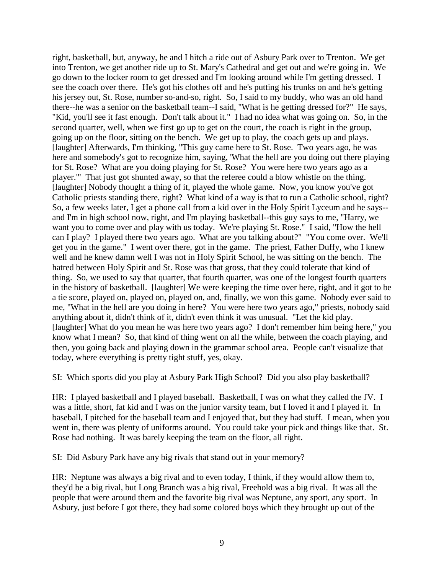right, basketball, but, anyway, he and I hitch a ride out of Asbury Park over to Trenton. We get into Trenton, we get another ride up to St. Mary's Cathedral and get out and we're going in. We go down to the locker room to get dressed and I'm looking around while I'm getting dressed. I see the coach over there. He's got his clothes off and he's putting his trunks on and he's getting his jersey out, St. Rose, number so-and-so, right. So, I said to my buddy, who was an old hand there--he was a senior on the basketball team--I said, "What is he getting dressed for?" He says, "Kid, you'll see it fast enough. Don't talk about it." I had no idea what was going on. So, in the second quarter, well, when we first go up to get on the court, the coach is right in the group, going up on the floor, sitting on the bench. We get up to play, the coach gets up and plays. [laughter] Afterwards, I'm thinking, "This guy came here to St. Rose. Two years ago, he was here and somebody's got to recognize him, saying, 'What the hell are you doing out there playing for St. Rose? What are you doing playing for St. Rose? You were here two years ago as a player.'" That just got shunted away, so that the referee could a blow whistle on the thing. [laughter] Nobody thought a thing of it, played the whole game. Now, you know you've got Catholic priests standing there, right? What kind of a way is that to run a Catholic school, right? So, a few weeks later, I get a phone call from a kid over in the Holy Spirit Lyceum and he says- and I'm in high school now, right, and I'm playing basketball--this guy says to me, "Harry, we want you to come over and play with us today. We're playing St. Rose." I said, "How the hell can I play? I played there two years ago. What are you talking about?" "You come over. We'll get you in the game." I went over there, got in the game. The priest, Father Duffy, who I knew well and he knew damn well I was not in Holy Spirit School, he was sitting on the bench. The hatred between Holy Spirit and St. Rose was that gross, that they could tolerate that kind of thing. So, we used to say that quarter, that fourth quarter, was one of the longest fourth quarters in the history of basketball. [laughter] We were keeping the time over here, right, and it got to be a tie score, played on, played on, played on, and, finally, we won this game. Nobody ever said to me, "What in the hell are you doing in here? You were here two years ago," priests, nobody said anything about it, didn't think of it, didn't even think it was unusual. "Let the kid play. [laughter] What do you mean he was here two years ago? I don't remember him being here," you know what I mean? So, that kind of thing went on all the while, between the coach playing, and then, you going back and playing down in the grammar school area. People can't visualize that today, where everything is pretty tight stuff, yes, okay.

SI: Which sports did you play at Asbury Park High School? Did you also play basketball?

HR: I played basketball and I played baseball. Basketball, I was on what they called the JV. I was a little, short, fat kid and I was on the junior varsity team, but I loved it and I played it. In baseball, I pitched for the baseball team and I enjoyed that, but they had stuff. I mean, when you went in, there was plenty of uniforms around. You could take your pick and things like that. St. Rose had nothing. It was barely keeping the team on the floor, all right.

SI: Did Asbury Park have any big rivals that stand out in your memory?

HR: Neptune was always a big rival and to even today, I think, if they would allow them to, they'd be a big rival, but Long Branch was a big rival, Freehold was a big rival. It was all the people that were around them and the favorite big rival was Neptune, any sport, any sport. In Asbury, just before I got there, they had some colored boys which they brought up out of the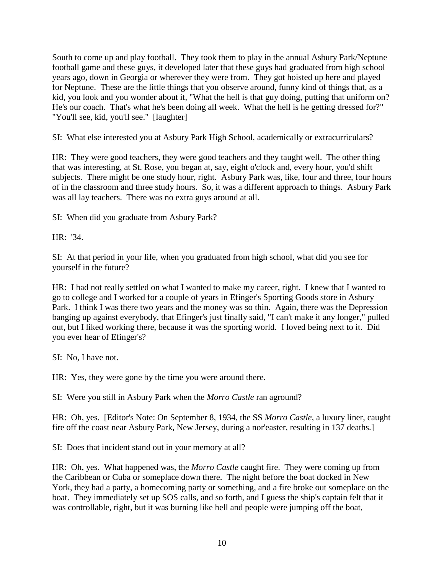South to come up and play football. They took them to play in the annual Asbury Park/Neptune football game and these guys, it developed later that these guys had graduated from high school years ago, down in Georgia or wherever they were from. They got hoisted up here and played for Neptune. These are the little things that you observe around, funny kind of things that, as a kid, you look and you wonder about it, "What the hell is that guy doing, putting that uniform on? He's our coach. That's what he's been doing all week. What the hell is he getting dressed for?" "You'll see, kid, you'll see." [laughter]

SI: What else interested you at Asbury Park High School, academically or extracurriculars?

HR: They were good teachers, they were good teachers and they taught well. The other thing that was interesting, at St. Rose, you began at, say, eight o'clock and, every hour, you'd shift subjects. There might be one study hour, right. Asbury Park was, like, four and three, four hours of in the classroom and three study hours. So, it was a different approach to things. Asbury Park was all lay teachers. There was no extra guys around at all.

SI: When did you graduate from Asbury Park?

HR: '34.

SI: At that period in your life, when you graduated from high school, what did you see for yourself in the future?

HR: I had not really settled on what I wanted to make my career, right. I knew that I wanted to go to college and I worked for a couple of years in Efinger's Sporting Goods store in Asbury Park. I think I was there two years and the money was so thin. Again, there was the Depression banging up against everybody, that Efinger's just finally said, "I can't make it any longer," pulled out, but I liked working there, because it was the sporting world. I loved being next to it. Did you ever hear of Efinger's?

SI: No, I have not.

HR: Yes, they were gone by the time you were around there.

SI: Were you still in Asbury Park when the *Morro Castle* ran aground?

HR: Oh, yes. [Editor's Note: On September 8, 1934, the SS *Morro Castle*, a luxury liner, caught fire off the coast near Asbury Park, New Jersey, during a nor'easter, resulting in 137 deaths.]

SI: Does that incident stand out in your memory at all?

HR: Oh, yes. What happened was, the *Morro Castle* caught fire. They were coming up from the Caribbean or Cuba or someplace down there. The night before the boat docked in New York, they had a party, a homecoming party or something, and a fire broke out someplace on the boat. They immediately set up SOS calls, and so forth, and I guess the ship's captain felt that it was controllable, right, but it was burning like hell and people were jumping off the boat,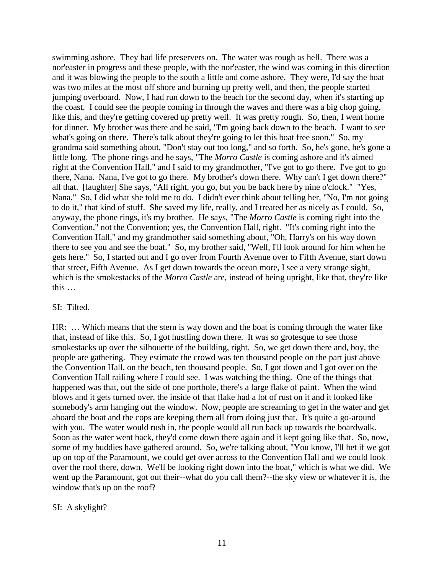swimming ashore. They had life preservers on. The water was rough as hell. There was a nor'easter in progress and these people, with the nor'easter, the wind was coming in this direction and it was blowing the people to the south a little and come ashore. They were, I'd say the boat was two miles at the most off shore and burning up pretty well, and then, the people started jumping overboard. Now, I had run down to the beach for the second day, when it's starting up the coast. I could see the people coming in through the waves and there was a big chop going, like this, and they're getting covered up pretty well. It was pretty rough. So, then, I went home for dinner. My brother was there and he said, "I'm going back down to the beach. I want to see what's going on there. There's talk about they're going to let this boat free soon." So, my grandma said something about, "Don't stay out too long," and so forth. So, he's gone, he's gone a little long. The phone rings and he says, "The *Morro Castle* is coming ashore and it's aimed right at the Convention Hall," and I said to my grandmother, "I've got to go there. I've got to go there, Nana. Nana, I've got to go there. My brother's down there. Why can't I get down there?" all that. [laughter] She says, "All right, you go, but you be back here by nine o'clock." "Yes, Nana." So, I did what she told me to do. I didn't ever think about telling her, "No, I'm not going to do it," that kind of stuff. She saved my life, really, and I treated her as nicely as I could. So, anyway, the phone rings, it's my brother. He says, "The *Morro Castle* is coming right into the Convention," not the Convention; yes, the Convention Hall, right. "It's coming right into the Convention Hall," and my grandmother said something about, "Oh, Harry's on his way down there to see you and see the boat." So, my brother said, "Well, I'll look around for him when he gets here." So, I started out and I go over from Fourth Avenue over to Fifth Avenue, start down that street, Fifth Avenue. As I get down towards the ocean more, I see a very strange sight, which is the smokestacks of the *Morro Castle* are, instead of being upright, like that, they're like this …

#### SI: Tilted.

HR: … Which means that the stern is way down and the boat is coming through the water like that, instead of like this. So, I got hustling down there. It was so grotesque to see those smokestacks up over the silhouette of the building, right. So, we get down there and, boy, the people are gathering. They estimate the crowd was ten thousand people on the part just above the Convention Hall, on the beach, ten thousand people. So, I got down and I got over on the Convention Hall railing where I could see. I was watching the thing. One of the things that happened was that, out the side of one porthole, there's a large flake of paint. When the wind blows and it gets turned over, the inside of that flake had a lot of rust on it and it looked like somebody's arm hanging out the window. Now, people are screaming to get in the water and get aboard the boat and the cops are keeping them all from doing just that. It's quite a go-around with you. The water would rush in, the people would all run back up towards the boardwalk. Soon as the water went back, they'd come down there again and it kept going like that. So, now, some of my buddies have gathered around. So, we're talking about, "You know, I'll bet if we got up on top of the Paramount, we could get over across to the Convention Hall and we could look over the roof there, down. We'll be looking right down into the boat," which is what we did. We went up the Paramount, got out their--what do you call them?--the sky view or whatever it is, the window that's up on the roof?

#### SI: A skylight?